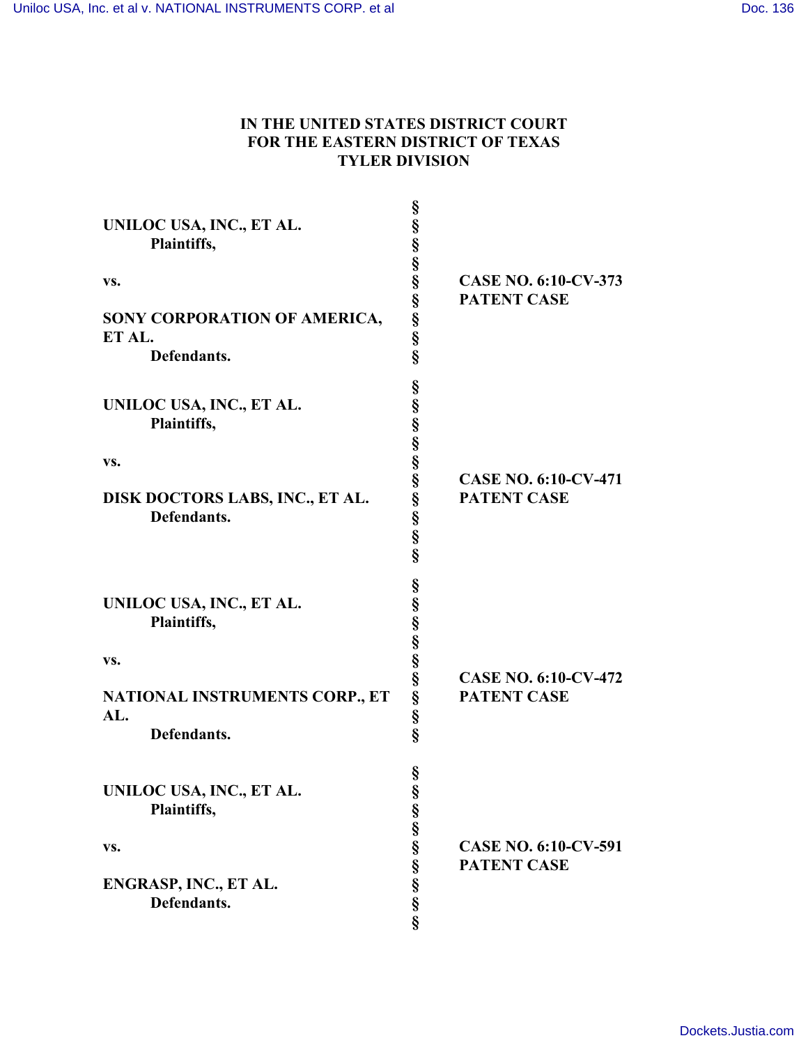## **IN THE UNITED STATES DISTRICT COURT FOR THE EASTERN DISTRICT OF TEXAS TYLER DIVISION**

| UNILOC USA, INC., ET AL.<br>Plaintiffs,<br>VS.<br>SONY CORPORATION OF AMERICA,<br>ET AL.<br>Defendants. | 89 89 99 99 99 99 99 99 99    | <b>CASE NO. 6:10-CV-373</b><br><b>PATENT CASE</b> |
|---------------------------------------------------------------------------------------------------------|-------------------------------|---------------------------------------------------|
| UNILOC USA, INC., ET AL.<br>Plaintiffs,<br>VS.<br>DISK DOCTORS LABS, INC., ET AL.<br>Defendants.        | en en en en en en en en en en | <b>CASE NO. 6:10-CV-471</b><br><b>PATENT CASE</b> |
| UNILOC USA, INC., ET AL.<br>Plaintiffs,<br>VS.<br>NATIONAL INSTRUMENTS CORP., ET<br>AL.<br>Defendants.  | 89 89 99 99 99 99 99 99 99    | <b>CASE NO. 6:10-CV-472</b><br><b>PATENT CASE</b> |
| UNILOC USA, INC., ET AL.<br>Plaintiffs,<br>VS.<br>ENGRASP, INC., ET AL.<br>Defendants.                  | §<br>es en en en en en en en  | <b>CASE NO. 6:10-CV-591</b><br><b>PATENT CASE</b> |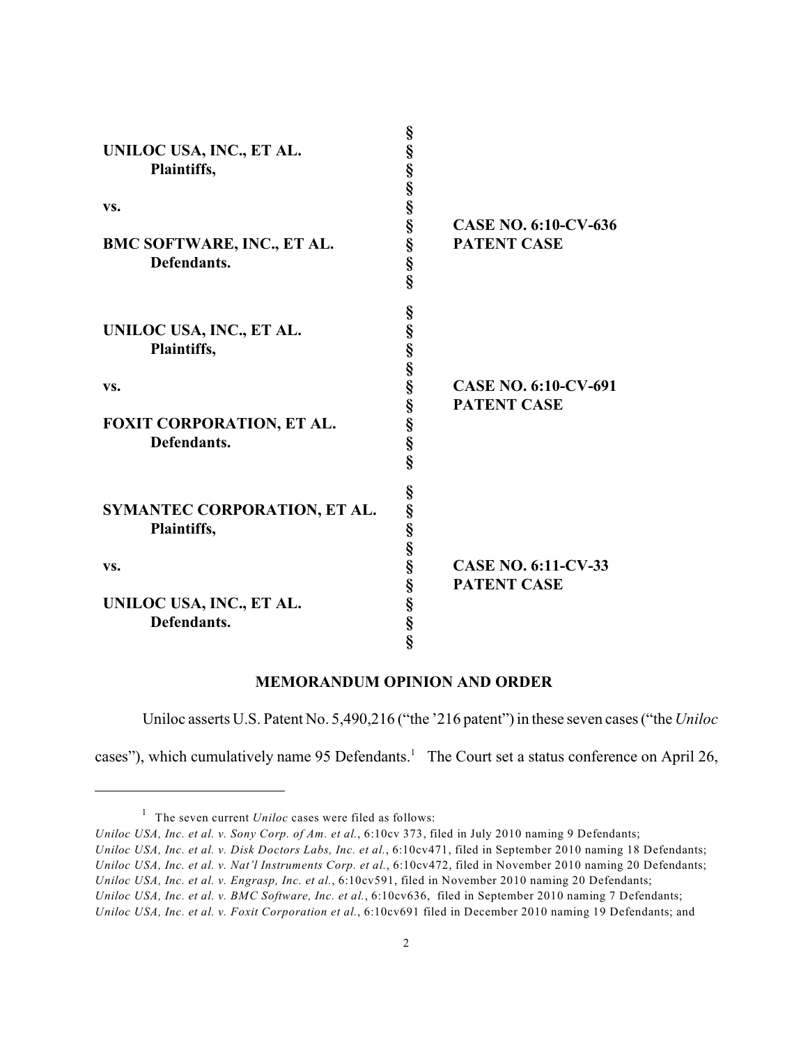|                              | 8                          |                             |
|------------------------------|----------------------------|-----------------------------|
| UNILOC USA, INC., ET AL.     |                            |                             |
| Plaintiffs,                  |                            |                             |
|                              |                            |                             |
|                              |                            |                             |
| VS.                          |                            |                             |
|                              |                            | <b>CASE NO. 6:10-CV-636</b> |
| BMC SOFTWARE, INC., ET AL.   |                            | <b>PATENT CASE</b>          |
| Defendants.                  |                            |                             |
|                              |                            |                             |
|                              |                            |                             |
|                              | §                          |                             |
| UNILOC USA, INC., ET AL.     |                            |                             |
| Plaintiffs,                  |                            |                             |
|                              |                            |                             |
|                              |                            |                             |
| VS.                          |                            | <b>CASE NO. 6:10-CV-691</b> |
|                              |                            | <b>PATENT CASE</b>          |
| FOXIT CORPORATION, ET AL.    |                            |                             |
| Defendants.                  |                            |                             |
|                              |                            |                             |
|                              |                            |                             |
|                              |                            |                             |
| SYMANTEC CORPORATION, ET AL. |                            |                             |
| Plaintiffs,                  |                            |                             |
|                              |                            |                             |
|                              |                            | <b>CASE NO. 6:11-CV-33</b>  |
| VS.                          |                            |                             |
|                              |                            | <b>PATENT CASE</b>          |
| UNILOC USA, INC., ET AL.     |                            |                             |
| Defendants.                  |                            |                             |
|                              | es en en en en en en en en |                             |
|                              |                            |                             |

**§**

## **MEMORANDUM OPINION AND ORDER**

Uniloc asserts U.S. Patent No. 5,490,216 ("the '216 patent") in these seven cases ("the *Uniloc* 

cases"), which cumulatively name 95 Defendants.<sup>1</sup> The Court set a status conference on April 26,

<sup>&</sup>lt;sup>1</sup> The seven current *Uniloc* cases were filed as follows:

*Uniloc USA, Inc. et al. v. Sony Corp. of Am. et al.*, 6:10cv 373, filed in July 2010 naming 9 Defendants; *Uniloc USA, Inc. et al. v. Disk Doctors Labs, Inc. et al.*, 6:10cv471, filed in September 2010 naming 18 Defendants; *Uniloc USA, Inc. et al. v. Nat'l Instruments Corp. et al.*, 6:10cv472, filed in November 2010 naming 20 Defendants; *Uniloc USA, Inc. et al. v. Engrasp, Inc. et al.*, 6:10cv591, filed in November 2010 naming 20 Defendants; *Uniloc USA, Inc. et al. v. BMC Software, Inc. et al.*, 6:10cv636, filed in September 2010 naming 7 Defendants; *Uniloc USA, Inc. et al. v. Foxit Corporation et al.*, 6:10cv691 filed in December 2010 naming 19 Defendants; and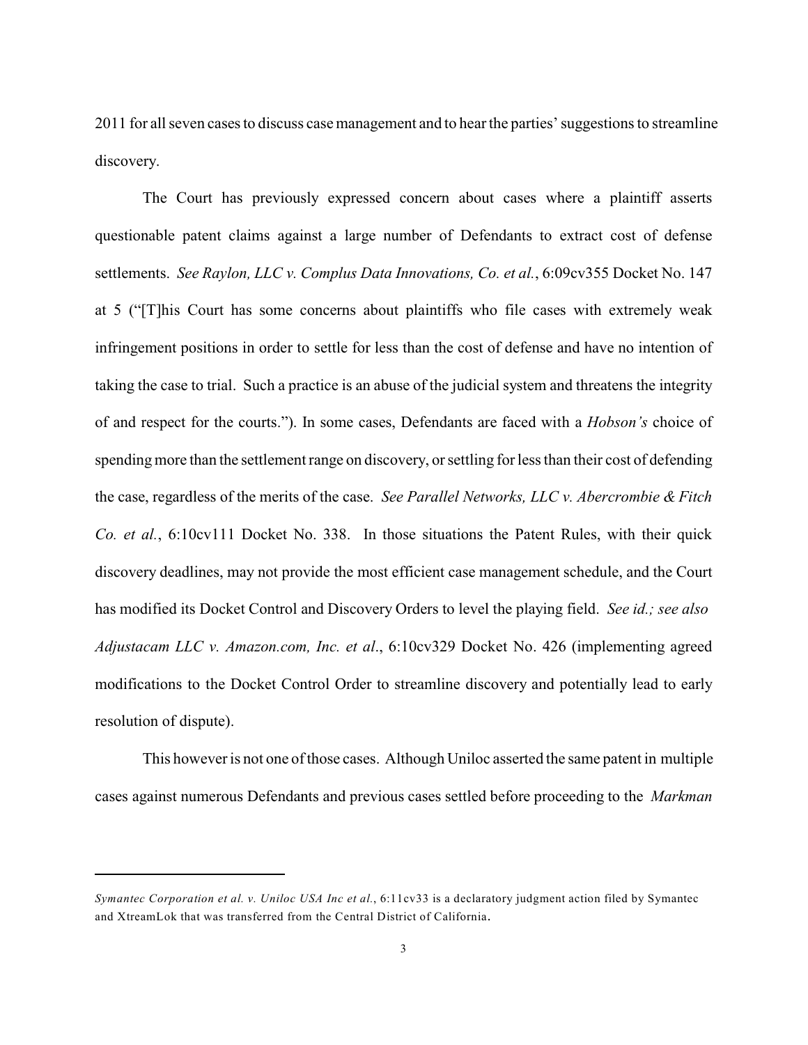2011 for all seven cases to discuss casemanagement and to hearthe parties'suggestions to streamline discovery.

The Court has previously expressed concern about cases where a plaintiff asserts questionable patent claims against a large number of Defendants to extract cost of defense settlements. *See Raylon, LLC v. Complus Data Innovations, Co. et al.*, 6:09cv355 Docket No. 147 at 5 ("[T]his Court has some concerns about plaintiffs who file cases with extremely weak infringement positions in order to settle for less than the cost of defense and have no intention of taking the case to trial. Such a practice is an abuse of the judicial system and threatens the integrity of and respect for the courts."). In some cases, Defendants are faced with a *Hobson's* choice of spending more than the settlement range on discovery, or settling for less than their cost of defending the case, regardless of the merits of the case. *See Parallel Networks, LLC v. Abercrombie & Fitch Co. et al.*, 6:10cv111 Docket No. 338. In those situations the Patent Rules, with their quick discovery deadlines, may not provide the most efficient case management schedule, and the Court has modified its Docket Control and Discovery Orders to level the playing field. *See id.; see also Adjustacam LLC v. Amazon.com, Inc. et al*., 6:10cv329 Docket No. 426 (implementing agreed modifications to the Docket Control Order to streamline discovery and potentially lead to early resolution of dispute).

This however is not one of those cases. Although Uniloc asserted the same patent in multiple cases against numerous Defendants and previous cases settled before proceeding to the *Markman*

*Symantec Corporation et al. v. Uniloc USA Inc et al.*, 6:11cv33 is a declaratory judgment action filed by Symantec and XtreamLok that was transferred from the Central District of California.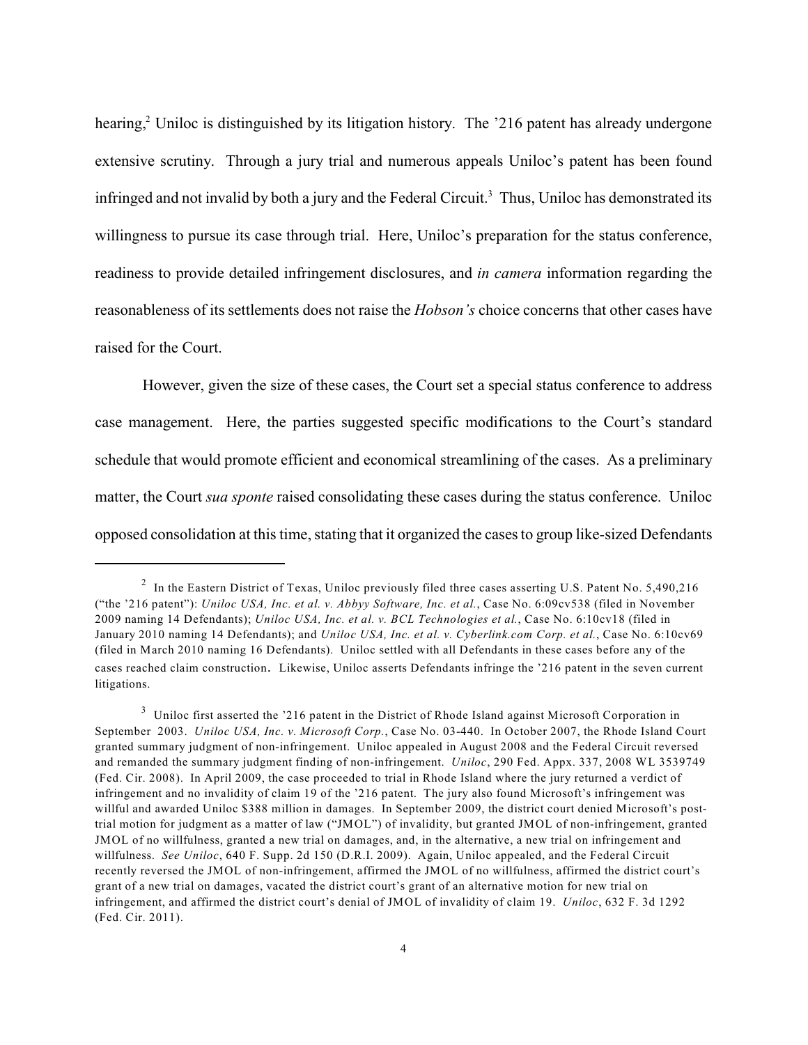hearing, $\frac{2}{3}$  Uniloc is distinguished by its litigation history. The '216 patent has already undergone extensive scrutiny. Through a jury trial and numerous appeals Uniloc's patent has been found infringed and not invalid by both a jury and the Federal Circuit.<sup>3</sup> Thus, Uniloc has demonstrated its willingness to pursue its case through trial. Here, Uniloc's preparation for the status conference, readiness to provide detailed infringement disclosures, and *in camera* information regarding the reasonableness of its settlements does not raise the *Hobson's* choice concerns that other cases have raised for the Court.

However, given the size of these cases, the Court set a special status conference to address case management. Here, the parties suggested specific modifications to the Court's standard schedule that would promote efficient and economical streamlining of the cases. As a preliminary matter, the Court *sua sponte* raised consolidating these cases during the status conference. Uniloc opposed consolidation at this time, stating that it organized the cases to group like-sized Defendants

<sup>&</sup>lt;sup>2</sup> In the Eastern District of Texas, Uniloc previously filed three cases asserting U.S. Patent No. 5,490,216 ("the '216 patent"): *Uniloc USA, Inc. et al. v. Abbyy Software, Inc. et al.*, Case No. 6:09cv538 (filed in November 2009 naming 14 Defendants); *Uniloc USA, Inc. et al. v. BCL Technologies et al.*, Case No. 6:10cv18 (filed in January 2010 naming 14 Defendants); and *Uniloc USA, Inc. et al. v. Cyberlink.com Corp. et al.*, Case No. 6:10cv69 (filed in March 2010 naming 16 Defendants). Uniloc settled with all Defendants in these cases before any of the cases reached claim construction. Likewise, Uniloc asserts Defendants infringe the '216 patent in the seven current litigations.

 $3$  Uniloc first asserted the '216 patent in the District of Rhode Island against Microsoft Corporation in September 2003. *Uniloc USA, Inc. v. Microsoft Corp.*, Case No. 03-440. In October 2007, the Rhode Island Court granted summary judgment of non-infringement. Uniloc appealed in August 2008 and the Federal Circuit reversed and remanded the summary judgment finding of non-infringement. *Uniloc*, 290 Fed. Appx. 337, 2008 WL 3539749 (Fed. Cir. 2008). In April 2009, the case proceeded to trial in Rhode Island where the jury returned a verdict of infringement and no invalidity of claim 19 of the '216 patent. The jury also found Microsoft's infringement was willful and awarded Uniloc \$388 million in damages. In September 2009, the district court denied Microsoft's posttrial motion for judgment as a matter of law ("JMOL") of invalidity, but granted JMOL of non-infringement, granted JMOL of no willfulness, granted a new trial on damages, and, in the alternative, a new trial on infringement and willfulness. *See Uniloc*, 640 F. Supp. 2d 150 (D.R.I. 2009). Again, Uniloc appealed, and the Federal Circuit recently reversed the JMOL of non-infringement, affirmed the JMOL of no willfulness, affirmed the district court's grant of a new trial on damages, vacated the district court's grant of an alternative motion for new trial on infringement, and affirmed the district court's denial of JMOL of invalidity of claim 19. *Uniloc*, 632 F. 3d 1292 (Fed. Cir. 2011).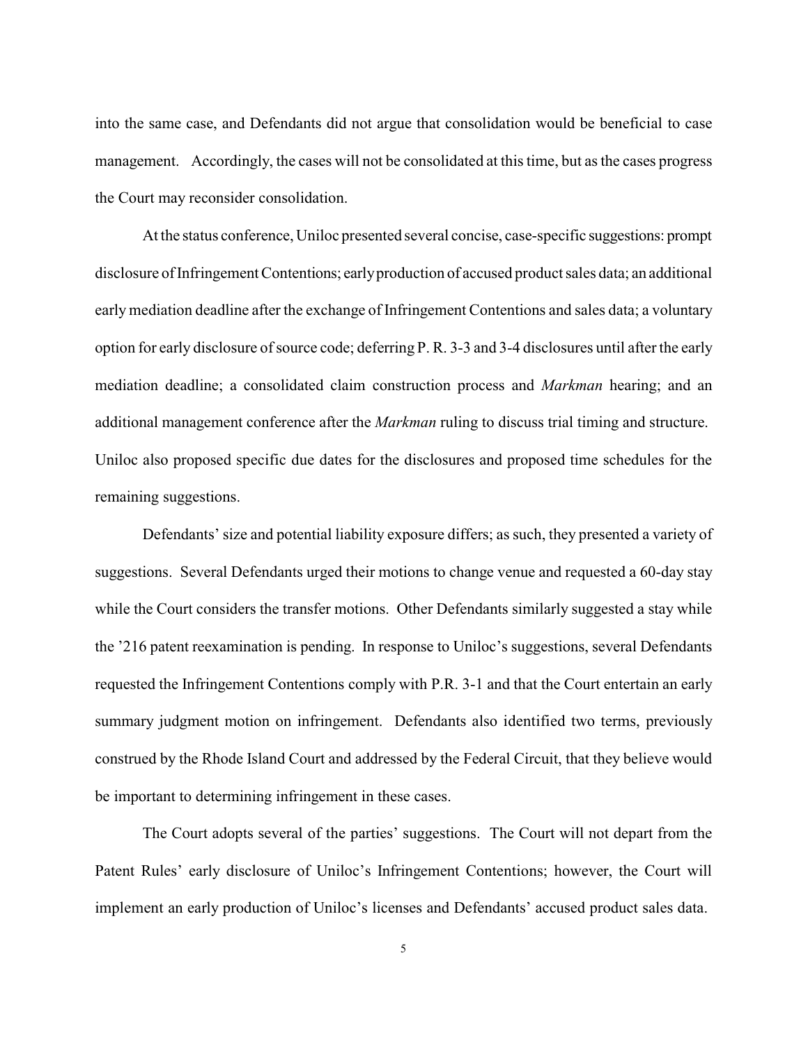into the same case, and Defendants did not argue that consolidation would be beneficial to case management. Accordingly, the cases will not be consolidated at this time, but as the cases progress the Court may reconsider consolidation.

At the status conference, Uniloc presented several concise, case-specific suggestions: prompt disclosure of Infringement Contentions; earlyproduction of accused product sales data; an additional early mediation deadline after the exchange of Infringement Contentions and sales data; a voluntary option for early disclosure of source code; deferring P. R. 3-3 and 3-4 disclosures until after the early mediation deadline; a consolidated claim construction process and *Markman* hearing; and an additional management conference after the *Markman* ruling to discuss trial timing and structure. Uniloc also proposed specific due dates for the disclosures and proposed time schedules for the remaining suggestions.

Defendants' size and potential liability exposure differs; as such, they presented a variety of suggestions. Several Defendants urged their motions to change venue and requested a 60-day stay while the Court considers the transfer motions. Other Defendants similarly suggested a stay while the '216 patent reexamination is pending. In response to Uniloc's suggestions, several Defendants requested the Infringement Contentions comply with P.R. 3-1 and that the Court entertain an early summary judgment motion on infringement. Defendants also identified two terms, previously construed by the Rhode Island Court and addressed by the Federal Circuit, that they believe would be important to determining infringement in these cases.

The Court adopts several of the parties' suggestions. The Court will not depart from the Patent Rules' early disclosure of Uniloc's Infringement Contentions; however, the Court will implement an early production of Uniloc's licenses and Defendants' accused product sales data.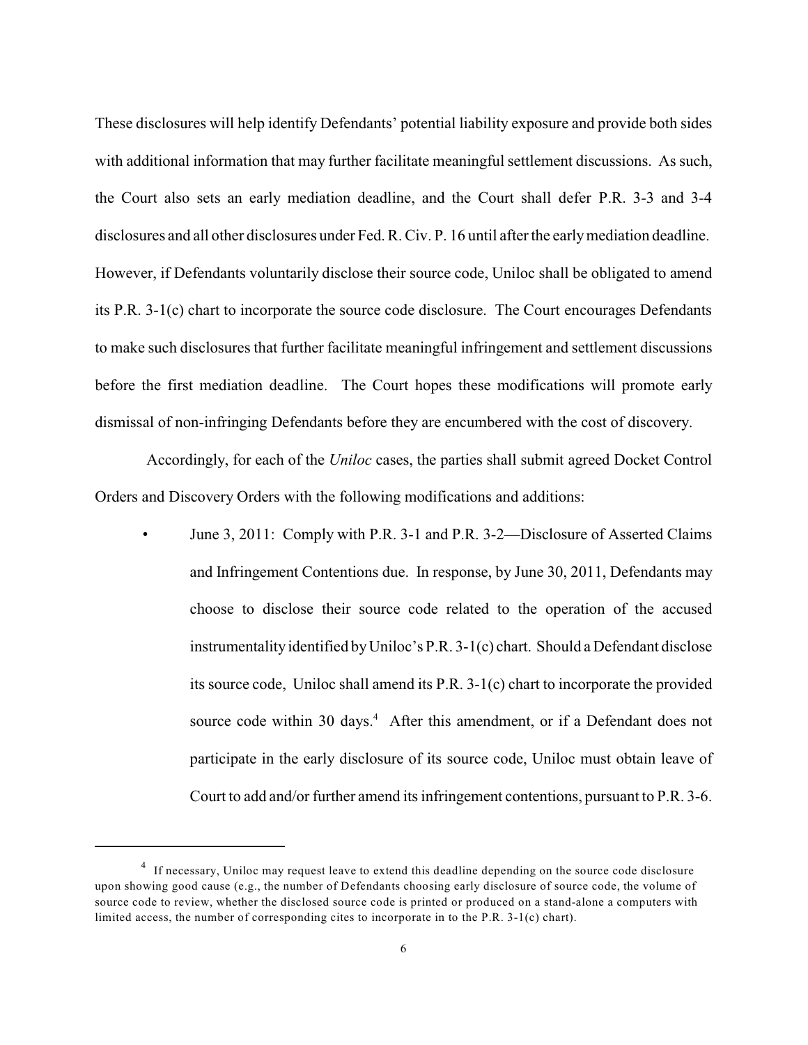These disclosures will help identify Defendants' potential liability exposure and provide both sides with additional information that may further facilitate meaningful settlement discussions. As such, the Court also sets an early mediation deadline, and the Court shall defer P.R. 3-3 and 3-4 disclosures and all other disclosures under Fed. R. Civ. P. 16 until after the earlymediation deadline. However, if Defendants voluntarily disclose their source code, Uniloc shall be obligated to amend its P.R. 3-1(c) chart to incorporate the source code disclosure. The Court encourages Defendants to make such disclosures that further facilitate meaningful infringement and settlement discussions before the first mediation deadline. The Court hopes these modifications will promote early dismissal of non-infringing Defendants before they are encumbered with the cost of discovery.

Accordingly, for each of the *Uniloc* cases, the parties shall submit agreed Docket Control Orders and Discovery Orders with the following modifications and additions:

• June 3, 2011: Comply with P.R. 3-1 and P.R. 3-2—Disclosure of Asserted Claims and Infringement Contentions due. In response, by June 30, 2011, Defendants may choose to disclose their source code related to the operation of the accused instrumentality identified byUniloc's P.R. 3-1(c) chart. Should a Defendant disclose its source code, Uniloc shall amend its P.R. 3-1(c) chart to incorporate the provided source code within 30 days.<sup>4</sup> After this amendment, or if a Defendant does not participate in the early disclosure of its source code, Uniloc must obtain leave of Court to add and/or further amend its infringement contentions, pursuant to P.R. 3-6.

<sup>&</sup>lt;sup>4</sup> If necessary, Uniloc may request leave to extend this deadline depending on the source code disclosure upon showing good cause (e.g., the number of Defendants choosing early disclosure of source code, the volume of source code to review, whether the disclosed source code is printed or produced on a stand-alone a computers with limited access, the number of corresponding cites to incorporate in to the P.R. 3-1(c) chart).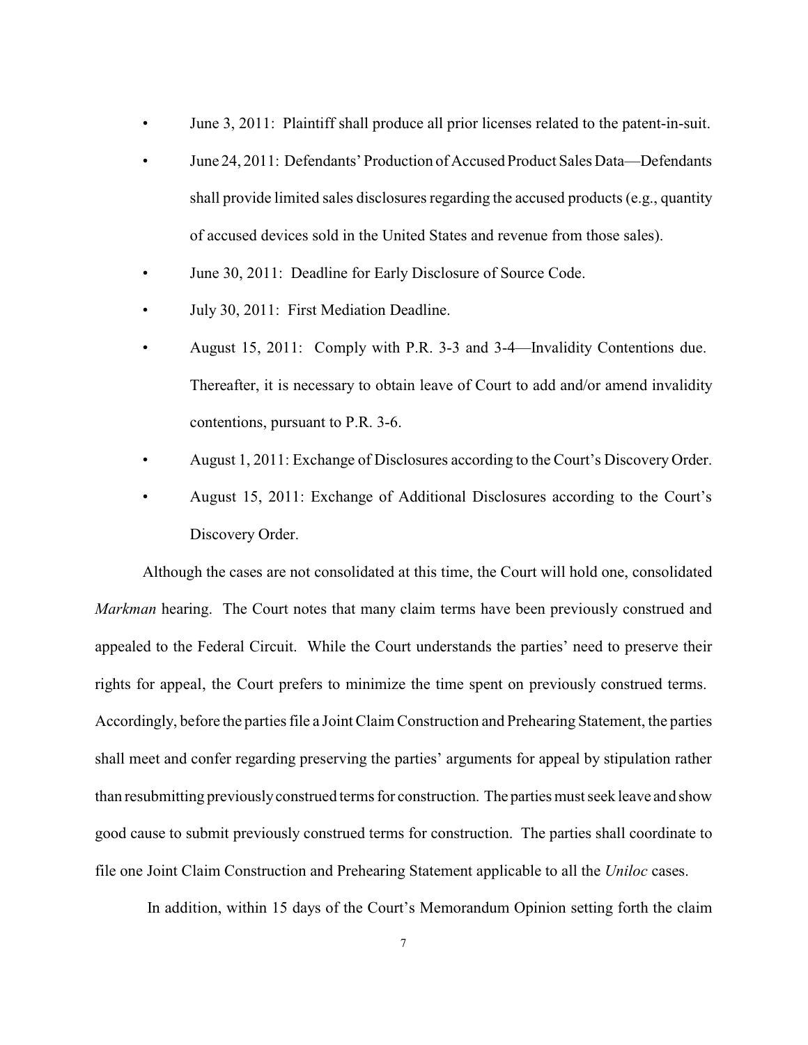- June 3, 2011: Plaintiff shall produce all prior licenses related to the patent-in-suit.
- June 24, 2011: Defendants' Production of Accused Product Sales Data—Defendants shall provide limited sales disclosures regarding the accused products (e.g., quantity of accused devices sold in the United States and revenue from those sales).
- June 30, 2011: Deadline for Early Disclosure of Source Code.
- July 30, 2011: First Mediation Deadline.
- August 15, 2011: Comply with P.R. 3-3 and 3-4—Invalidity Contentions due. Thereafter, it is necessary to obtain leave of Court to add and/or amend invalidity contentions, pursuant to P.R. 3-6.
- August 1, 2011: Exchange of Disclosures according to the Court's Discovery Order.
- August 15, 2011: Exchange of Additional Disclosures according to the Court's Discovery Order.

Although the cases are not consolidated at this time, the Court will hold one, consolidated *Markman* hearing. The Court notes that many claim terms have been previously construed and appealed to the Federal Circuit. While the Court understands the parties' need to preserve their rights for appeal, the Court prefers to minimize the time spent on previously construed terms. Accordingly, before the parties file a Joint Claim Construction and Prehearing Statement, the parties shall meet and confer regarding preserving the parties' arguments for appeal by stipulation rather than resubmitting previouslyconstrued terms for construction. The parties must seek leave and show good cause to submit previously construed terms for construction. The parties shall coordinate to file one Joint Claim Construction and Prehearing Statement applicable to all the *Uniloc* cases.

In addition, within 15 days of the Court's Memorandum Opinion setting forth the claim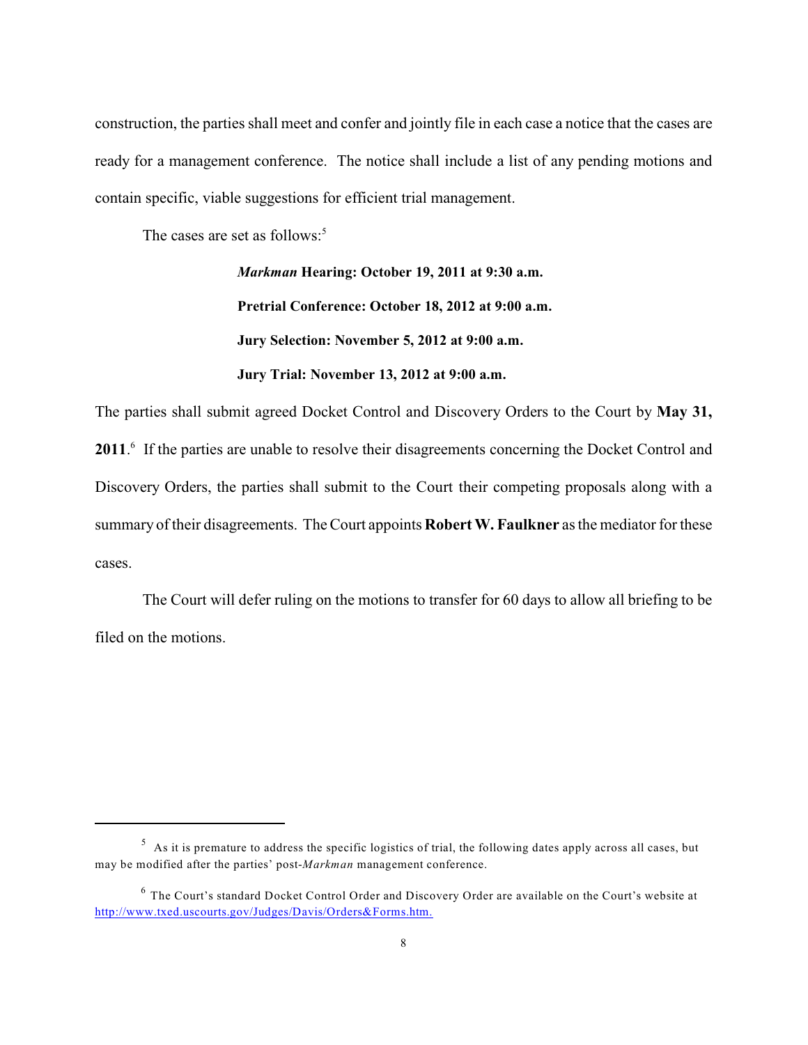construction, the parties shall meet and confer and jointly file in each case a notice that the cases are ready for a management conference. The notice shall include a list of any pending motions and contain specific, viable suggestions for efficient trial management.

The cases are set as follows:<sup>5</sup>

*Markman* **Hearing: October 19, 2011 at 9:30 a.m. Pretrial Conference: October 18, 2012 at 9:00 a.m. Jury Selection: November 5, 2012 at 9:00 a.m. Jury Trial: November 13, 2012 at 9:00 a.m.**

The parties shall submit agreed Docket Control and Discovery Orders to the Court by **May 31,** 2011.<sup>6</sup> If the parties are unable to resolve their disagreements concerning the Docket Control and Discovery Orders, the parties shall submit to the Court their competing proposals along with a summary of their disagreements. The Court appoints **RobertW. Faulkner** as the mediator for these cases.

The Court will defer ruling on the motions to transfer for 60 days to allow all briefing to be filed on the motions.

 $5$  As it is premature to address the specific logistics of trial, the following dates apply across all cases, but may be modified after the parties' post-*Markman* management conference.

 $6$  The Court's standard Docket Control Order and Discovery Order are available on the Court's website at http://www.txed.uscourts.gov/Judges/Davis/Orders&Forms.htm.